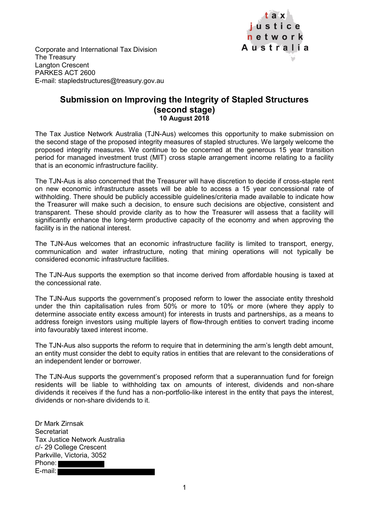

Corporate and International Tax Division The Treasury Langton Crescent PARKES ACT 2600 E-mail: stapledstructures@treasury.gov.au

## **Submission on Improving the Integrity of Stapled Structures (second stage) 10 August 2018**

The Tax Justice Network Australia (TJN-Aus) welcomes this opportunity to make submission on the second stage of the proposed integrity measures of stapled structures. We largely welcome the proposed integrity measures. We continue to be concerned at the generous 15 year transition period for managed investment trust (MIT) cross staple arrangement income relating to a facility that is an economic infrastructure facility.

The TJN-Aus is also concerned that the Treasurer will have discretion to decide if cross-staple rent on new economic infrastructure assets will be able to access a 15 year concessional rate of withholding. There should be publicly accessible guidelines/criteria made available to indicate how the Treasurer will make such a decision, to ensure such decisions are objective, consistent and transparent. These should provide clarity as to how the Treasurer will assess that a facility will significantly enhance the long-term productive capacity of the economy and when approving the facility is in the national interest.

The TJN-Aus welcomes that an economic infrastructure facility is limited to transport, energy, communication and water infrastructure, noting that mining operations will not typically be considered economic infrastructure facilities.

The TJN-Aus supports the exemption so that income derived from affordable housing is taxed at the concessional rate.

The TJN-Aus supports the government's proposed reform to lower the associate entity threshold under the thin capitalisation rules from 50% or more to 10% or more (where they apply to determine associate entity excess amount) for interests in trusts and partnerships, as a means to address foreign investors using multiple layers of flow-through entities to convert trading income into favourably taxed interest income.

The TJN-Aus also supports the reform to require that in determining the arm's length debt amount, an entity must consider the debt to equity ratios in entities that are relevant to the considerations of an independent lender or borrower.

The TJN-Aus supports the government's proposed reform that a superannuation fund for foreign residents will be liable to withholding tax on amounts of interest, dividends and non-share dividends it receives if the fund has a non-portfolio-like interest in the entity that pays the interest, dividends or non-share dividends to it.

Dr Mark Zirnsak **Secretariat** Tax Justice Network Australia c/- 29 College Crescent Parkville, Victoria, 3052 Phone: E-mail: